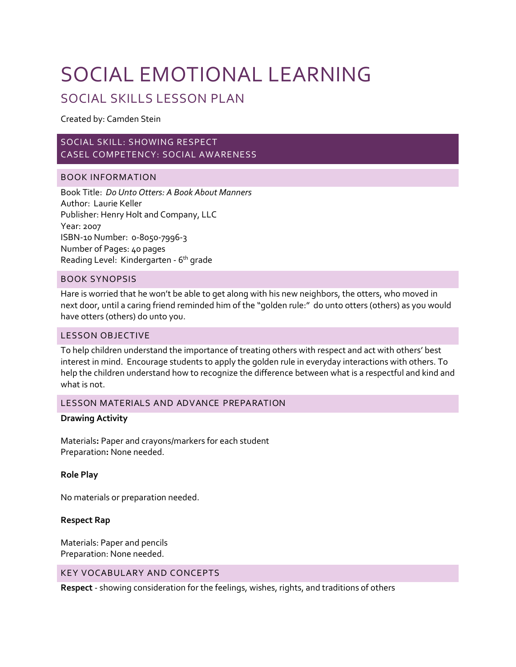## SOCIAL EMOTIONAL LEARNING

### SOCIAL SKILLS LESSON PLAN

Created by: Camden Stein

#### SOCIAL SKILL: SHOWING RESPECT CASEL COMPETENCY: SOCIAL AWARENESS

#### BOOK INFORMATION

Book Title: *Do Unto Otters: A Book About Manners* Author: Laurie Keller Publisher: Henry Holt and Company, LLC Year: 2007 ISBN-10 Number: 0-8050-7996-3 Number of Pages: 40 pages Reading Level: Kindergarten - 6<sup>th</sup> grade

#### BOOK SYNOPSIS

Hare is worried that he won't be able to get along with his new neighbors, the otters, who moved in next door, until a caring friend reminded him of the "golden rule:" do unto otters (others) as you would have otters (others) do unto you.

#### LESSON OBJECTIVE

To help children understand the importance of treating others with respect and act with others' best interest in mind. Encourage students to apply the golden rule in everyday interactions with others. To help the children understand how to recognize the difference between what is a respectful and kind and what is not.

#### LESSON MATERIALS AND ADVANCE PREPARATION

#### **Drawing Activity**

Materials**:** Paper and crayons/markers for each student Preparation**:** None needed.

#### **Role Play**

No materials or preparation needed.

#### **Respect Rap**

Materials: Paper and pencils Preparation: None needed.

#### KEY VOCABULARY AND CONCEPTS

**Respect** - showing consideration for the feelings, wishes, rights, and traditions of others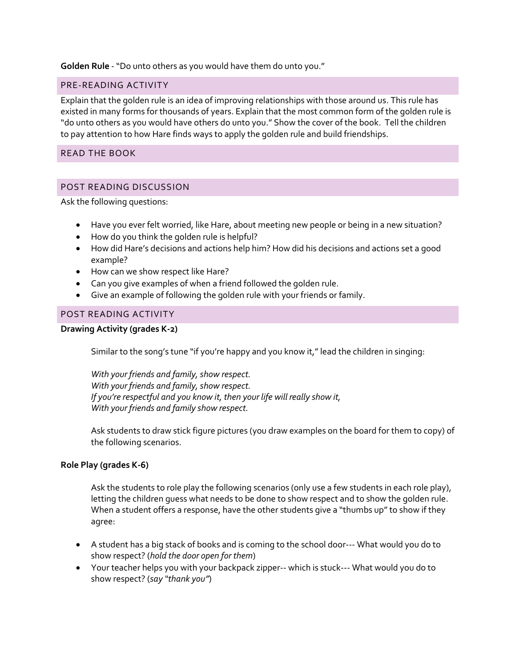**Golden Rule** - "Do unto others as you would have them do unto you."

#### PRE-READING ACTIVITY

Explain that the golden rule is an idea of improving relationships with those around us. This rule has existed in many forms for thousands of years. Explain that the most common form of the golden rule is "do unto others as you would have others do unto you." Show the cover of the book. Tell the children to pay attention to how Hare finds ways to apply the golden rule and build friendships.

#### READ THE BOOK

#### POST READING DISCUSSION

Ask the following questions:

- Have you ever felt worried, like Hare, about meeting new people or being in a new situation?
- How do you think the golden rule is helpful?
- How did Hare's decisions and actions help him? How did his decisions and actions set a good example?
- How can we show respect like Hare?
- Can you give examples of when a friend followed the golden rule.
- Give an example of following the golden rule with your friends or family.

#### POST READING ACTIVITY

#### **Drawing Activity (grades K-2)**

Similar to the song's tune "if you're happy and you know it," lead the children in singing:

*With your friends and family, show respect. With your friends and family, show respect. If you're respectful and you know it, then your life will really show it, With your friends and family show respect.*

Ask students to draw stick figure pictures (you draw examples on the board for them to copy) of the following scenarios.

#### **Role Play (grades K-6)**

Ask the students to role play the following scenarios (only use a few students in each role play), letting the children guess what needs to be done to show respect and to show the golden rule. When a student offers a response, have the other students give a "thumbs up" to show if they agree:

- A student has a big stack of books and is coming to the school door--- What would you do to show respect? (*hold the door open for them*)
- Your teacher helps you with your backpack zipper-- which is stuck--- What would you do to show respect? (*say "thank you"*)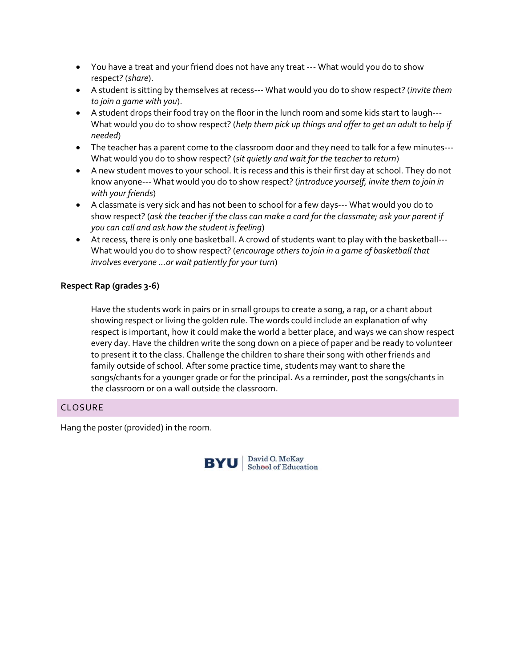- You have a treat and your friend does not have any treat --- What would you do to show respect? (*share*).
- A student is sitting by themselves at recess--- What would you do to show respect? (*invite them to join a game with you*).
- A student drops their food tray on the floor in the lunch room and some kids start to laugh--- What would you do to show respect? (*help them pick up things and offer to get an adult to help if needed*)
- The teacher has a parent come to the classroom door and they need to talk for a few minutes--- What would you do to show respect? (*sit quietly and wait for the teacher to return*)
- A new student moves to your school. It is recess and this is their first day at school. They do not know anyone--- What would you do to show respect? (*introduce yourself, invite them to join in with your friends*)
- A classmate is very sick and has not been to school for a few days--- What would you do to show respect? (*ask the teacher if the class can make a card for the classmate; ask your parent if you can call and ask how the student is feeling*)
- At recess, there is only one basketball. A crowd of students want to play with the basketball--- What would you do to show respect? (*encourage others to join in a game of basketball that involves everyone …or wait patiently for your turn*)

#### **Respect Rap (grades 3-6)**

Have the students work in pairs or in small groups to create a song, a rap, or a chant about showing respect or living the golden rule. The words could include an explanation of why respect is important, how it could make the world a better place, and ways we can show respect every day. Have the children write the song down on a piece of paper and be ready to volunteer to present it to the class. Challenge the children to share their song with other friends and family outside of school. After some practice time, students may want to share the songs/chants for a younger grade or for the principal. As a reminder, post the songs/chants in the classroom or on a wall outside the classroom.

#### CLOSURE

Hang the poster (provided) in the room.